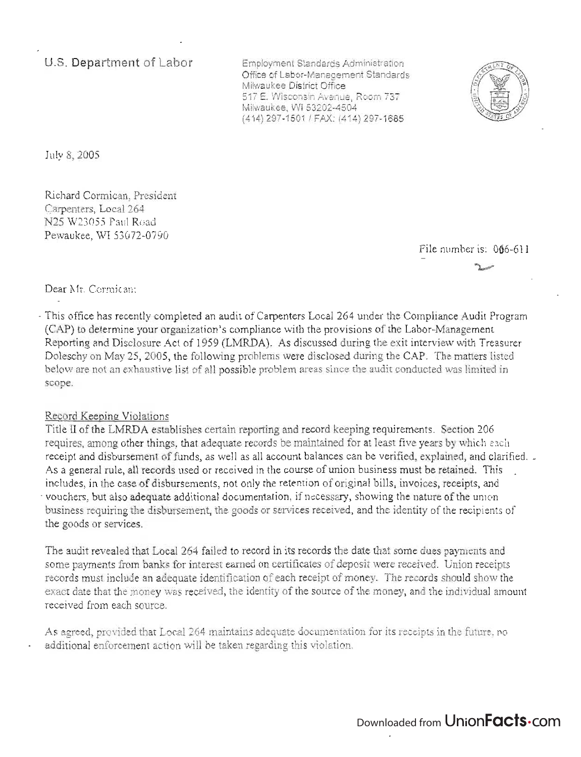**u.s. Department of Labor** 

Employment Standards Administration Office of Labor-Management Standards Milwaukee District Office 517 E, Wisconsin Avenue, Room 737 Milwaukee, WI 53202-4504 (414) 297-1501 / FAX: (414) 297-1685



July 8, 2005

Richard Cormican, President Carpenters, Local 264 N25 W23055 Paul Road Pewaukee, WI 53072-0790

 $i$ le number is:  $0.66, 611$ ~

Dear Mr. Cormican:

- This office has recently completed an audit of Carpenters Local 264 under the Compliance Audit Program (CAP) to determine your organization's compliance with the provisions of the Labor-Management Reporting and Disclosure Act of 1959 (LMRDA). As discussed during the exit interview with Treasurer Doleschy on May 25, 2005, the following problems were disclosed during the CAP. The matters listed below are not an exhaustive list of all possible problem areas since the audit conducted was limited in scope.

## Record Keeping Violations

Title II of the LMRDA establishes certain reporting and record keeping requirements. Section 206 requires, among other things, that adequate records be maintained for at least five years by which each receipt and disbursement of funds, as well as all account balances can be verified, explained, and clarified. \_ As a general rule, all records used or received in the course of union business must be retained. This includes, in the case of disbursements, not only the retention of original bills, invoices, receipts, and - vouchers, but also adequate additional documentation, if necessary, showing the nature of the union business requiring the disbursement, the goods or services received, and the identity of the recipients of the goods or services.

The audit revealed that Local 264 failed to record in its records the date that some dues payments and some payments from banks for interest earned on certificates of deposit were received. Union receipts records must include an adequate identification of each receipt of money. The records should show the exact date that the money was received, the identity of the source of the money, and the individual amount received from each source.

As agreed, provided that Local 264 maintains adequate documentation for its receipts in the future, no additional enforcement action will be taken regarding this violation.

Downloaded from UnionFacts.com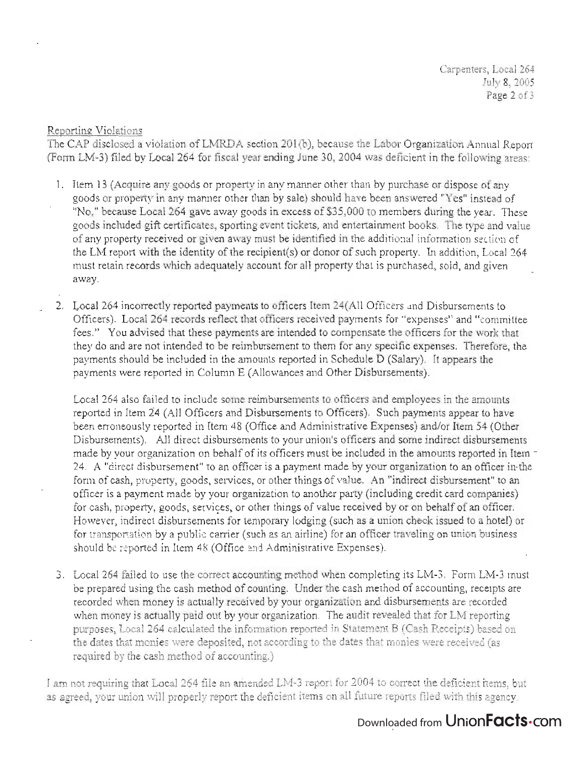Carpenters, Local 264 July 8, 2005 Page 2 of 3

## Reporting Violations

The CAP disclosed a violation of LMRDA section 201(b), because the Labor Organization Annual Report (Form LM-3) filed by Local 264 for fiscal year ending June 30, 2004 was deficient in the following areas:

- 1. Item 13 (Acquire any goods or property in any manner other than by purchase or dispose of any goods or property in any manner other than by sale) should have been answered "Yes" instead of "No," because Local 264 gave away goods in excess of \$35,000 to members during the year. These goods included gift certificates, sporting event tickets, and entertairunent books. The type and value of any property received or given away must be identified in the additional information section of the LM report with the identity of the recipient(s) or donor of such property. In addition, Local 264  $\sigma$  must report while the identity of the recipient sy of donor of social property. In addition, hold, and  $\frac{1}{2}$
- 2. Local 264 incorrectly reported payments to officers Item 24(All Officers and Disbursements to Officers). Local 264 records reflect that officers received payments for "expenses" and "committee fees." You advised that these payments are intended to compensate the officers for the work that they do and are not intended to be reimbursement to them for any specific expenses. Therefore, the payments should be included in the amounts reported in Schedule D (Salary). It appears the payments were reported in Column E (Allowances and Other Disbursements).

Local 264 also failed to include some reimbursements to officers and employees in the amounts reported in Item 24 (All Officers and Disbursements to Officers). Such payments appear to have been erroneously reported in Item 48 (Office and Administrative Expenses) and/or Item 54 (Other Disbursements). All direct disbursements to your union's officers and some indirect disbursements made by your organization on behalf of its officers must be included in the amounts reported in Item -24. A "direct disbursement" to an officer is a payment made by your organization to an officer in-the form of cash, property, goods, services, or other things of value. An "indirect disbursement" to an officer is a payment made by your organization to another party (including credit card companies) for cash, property, goods, services, or other things of value received by or on behalf of an officer. However, indirect disbursements for temporary lodging (such as a union check issued to a hotel) or for transportation by a public carrier (such as an airline) for an officer traveling on union business should be reported in Item 48 (Office and Administrative Expenses).

3. Local 264 failed to use the correct accounting method when completing its LM-3. Form LM-3 must be prepared using the cash method of counting. Under the cash method of accounting, receipts are recorded when money is actually received by your organization and disbursements are recorded when money is actually paid out by your organization. The audit revealed that for LM reporting purposes, Local 264 calculated the information reported in Statement B (Cash Receipts) based on the dates that monies were deposited, not according to the dates that monies were received (as required by the cash method of accounting.)

I am not requiring that Local 264 file an amended LM-3 report for 2004 to correct the deficient items, but as agreed, your union will properly report the deficient items on all future reports filed with this agency.